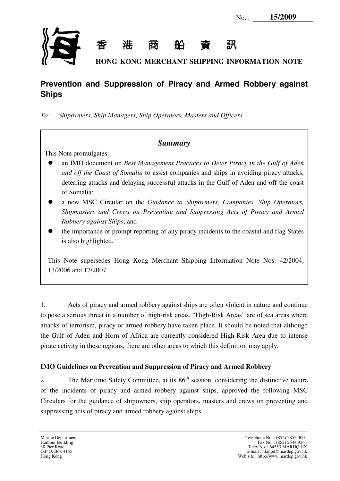

# **Prevention and Suppression of Piracy and Armed Robbery against Ships**

*To : Shipowners, Ship Managers, Ship Operators, Masters and Officers*

## *Summary*

This Note promulgates:

- an IMO document on *Best Management Practices to Deter Piracy in the Gulf of Aden and off the Coast of Somalia* to assist companies and ships in avoiding piracy attacks, deterring attacks and delaying successful attacks in the Gulf of Aden and off the coast of Somalia;
- a new MSC Circular on the *Guidance to Shipowners, Companies, Ship Operators, Shipmasters and Crews on Preventing and Suppressing Acts of Piracy and Armed Robbery against Ships*; and
- the importance of prompt reporting of any piracy incidents to the coastal and flag States is also highlighted.

This Note supersedes Hong Kong Merchant Shipping Information Note Nos. 42/2004, 13/2006 and 17/2007.

1. Acts of piracy and armed robbery against ships are often violent in nature and continue to pose a serious threat in a number of high-risk areas. "High-Risk Areas" are of sea areas where attacks of terrorism, piracy or armed robbery have taken place. It should be noted that although the Gulf of Aden and Horn of Africa are currently considered High-Risk Area due to intense pirate activity in these regions, there are other areas to which this definition may apply.

## **IMO Guidelines on Prevention and Suppression of Piracy and Armed Robbery**

2. The Maritime Safety Committee, at its 86<sup>th</sup> session, considering the distinctive nature of the incidents of piracy and armed robbery against ships, approved the following MSC Circulars for the guidance of shipowners, ship operators, masters and crews on preventing and suppressing acts of piracy and armed robbery against ships: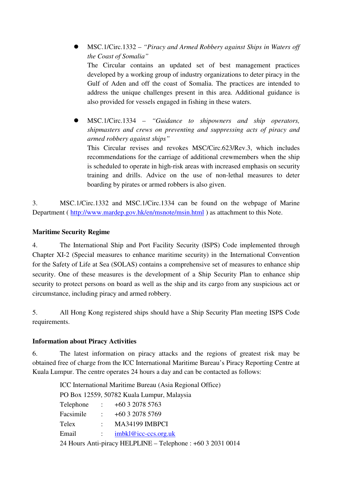MSC.1/Circ.1332 – *"Piracy and Armed Robbery against Ships in Waters off the Coast of Somalia"* The Circular contains an updated set of best management practices developed by a working group of industry organizations to deter piracy in the Gulf of Aden and off the coast of Somalia. The practices are intended to address the unique challenges present in this area. Additional guidance is also provided for vessels engaged in fishing in these waters.

 MSC.1/Circ.1334 – *"Guidance to shipowners and ship operators, shipmasters and crews on preventing and suppressing acts of piracy and armed robbery against ships"* This Circular revises and revokes MSC/Circ.623/Rev.3, which includes recommendations for the carriage of additional crewmembers when the ship is scheduled to operate in high-risk areas with increased emphasis on security training and drills. Advice on the use of non-lethal measures to deter boarding by pirates or armed robbers is also given.

3. MSC.1/Circ.1332 and MSC.1/Circ.1334 can be found on the webpage of Marine Department ( http://www.mardep.gov.hk/en/msnote/msin.html ) as attachment to this Note.

#### **Maritime Security Regime**

4. The International Ship and Port Facility Security (ISPS) Code implemented through Chapter XI-2 (Special measures to enhance maritime security) in the International Convention for the Safety of Life at Sea (SOLAS) contains a comprehensive set of measures to enhance ship security. One of these measures is the development of a Ship Security Plan to enhance ship security to protect persons on board as well as the ship and its cargo from any suspicious act or circumstance, including piracy and armed robbery.

5. All Hong Kong registered ships should have a Ship Security Plan meeting ISPS Code requirements.

### **Information about Piracy Activities**

6. The latest information on piracy attacks and the regions of greatest risk may be obtained free of charge from the ICC International Maritime Bureau's Piracy Reporting Centre at Kuala Lumpur. The centre operates 24 hours a day and can be contacted as follows:

> ICC International Maritime Bureau (Asia Regional Office) PO Box 12559, 50782 Kuala Lumpur, Malaysia Telephone : +60 3 2078 5763 Facsimile : +60 3 2078 5769 Telex : MA34199 IMBPCI Email : imbkl@icc-ccs.org.uk 24 Hours Anti-piracy HELPLINE – Telephone : +60 3 2031 0014